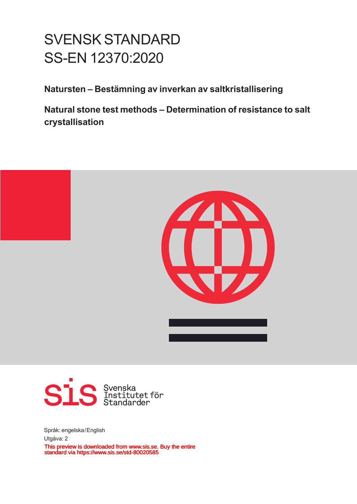# SS-EN 12370:2020 SVENSK STANDARD

**Natursten – Bestämning av inverkan av saltkristallisering**

**Natural stone test methods – Determination of resistance to salt crystallisation**





Språk: engelska/English Utgåva: 2 This preview is downloaded from www.sis.se. Buy the entire standard via https://www.sis.se/std-80020585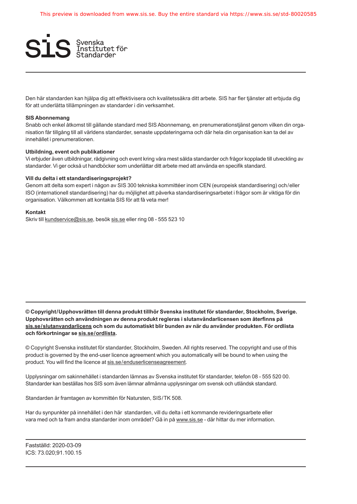

Den här standarden kan hjälpa dig att effektivisera och kvalitetssäkra ditt arbete. SIS har fler tjänster att erbjuda dig för att underlätta tillämpningen av standarder i din verksamhet.

#### **SIS Abonnemang**

Snabb och enkel åtkomst till gällande standard med SIS Abonnemang, en prenumerationstjänst genom vilken din organisation får tillgång till all världens standarder, senaste uppdateringarna och där hela din organisation kan ta del av innehållet i prenumerationen.

#### **Utbildning, event och publikationer**

Vi erbjuder även utbildningar, rådgivning och event kring våra mest sålda standarder och frågor kopplade till utveckling av standarder. Vi ger också ut handböcker som underlättar ditt arbete med att använda en specifik standard.

#### **Vill du delta i ett standardiseringsprojekt?**

Genom att delta som expert i någon av SIS 300 tekniska kommittéer inom CEN (europeisk standardisering) och / eller ISO (internationell standardisering) har du möjlighet att påverka standardiseringsarbetet i frågor som är viktiga för din organisation. Välkommen att kontakta SIS för att få veta mer!

#### **Kontakt**

Skriv till [kundservice@sis.se](mailto:kundservice%40sis.se?subject=kontakt), besök [sis.se](https://www.sis.se) eller ring 08 - 555 523 10

**© Copyright / Upphovsrätten till denna produkt tillhör Svenska institutet för standarder, Stockholm, Sverige. Upphovsrätten och användningen av denna produkt regleras i slutanvändarlicensen som återfinns på [sis.se / slutanvandarlicens](https://www.sis.se/slutanvandarlicens) och som du automatiskt blir bunden av när du använder produkten. För ordlista och förkortningar se sis.se/ [ordlista](https://www.sis.se/ordlista).**

© Copyright Svenska institutet för standarder, Stockholm, Sweden. All rights reserved. The copyright and use of this product is governed by the end-user licence agreement which you automatically will be bound to when using the product. You will find the licence at sis.se/enduserlicenseagreement.

Upplysningar om sakinnehållet i standarden lämnas av Svenska institutet för standarder, telefon 08 - 555 520 00. Standarder kan beställas hos SIS som även lämnar allmänna upplysningar om svensk och utländsk standard.

Standarden är framtagen av kommittén för Natursten, SIS / TK 508.

Har du synpunkter på innehållet i den här standarden, vill du delta i ett kommande revideringsarbete eller vara med och ta fram andra standarder inom området? Gå in på [www.sis.se](https://www.sis.se) - där hittar du mer information.

Fastställd: 2020-03-09 ICS: 73.020;91.100.15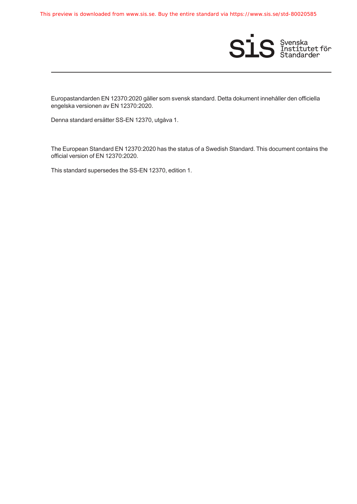

Europastandarden EN 12370:2020 gäller som svensk standard. Detta dokument innehåller den officiella engelska versionen av EN 12370:2020.

Denna standard ersätter SS-EN 12370, utgåva 1.

The European Standard EN 12370:2020 has the status of a Swedish Standard. This document contains the official version of EN 12370:2020.

This standard supersedes the SS-EN 12370, edition 1.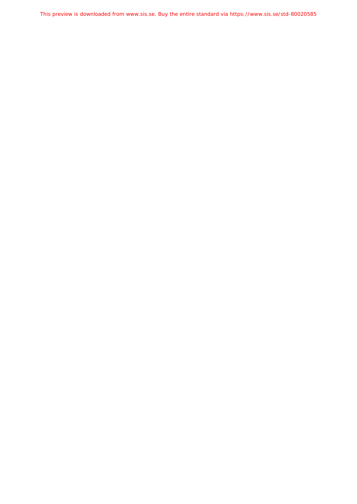This preview is downloaded from www.sis.se. Buy the entire standard via https://www.sis.se/std-80020585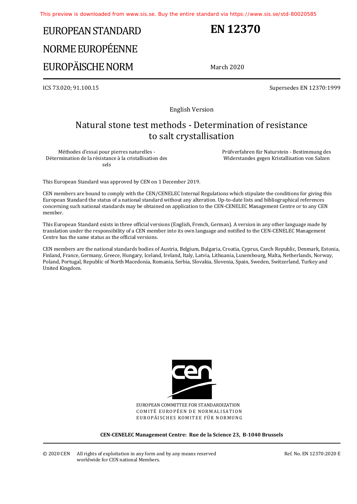# EUROPEAN STANDARD NORME EUROPÉENNE EUROPÄISCHE NORM

# **EN 12370**

March 2020

ICS 73.020; 91.100.15 Supersedes EN 12370:1999

English Version

## Natural stone test methods - Determination of resistance to salt crystallisation

Méthodes d'essai pour pierres naturelles - Détermination de la résistance à la cristallisation des sels

Prüfverfahren für Naturstein - Bestimmung des Widerstandes gegen Kristallisation von Salzen

This European Standard was approved by CEN on 1 December 2019.

CEN members are bound to comply with the CEN/CENELEC Internal Regulations which stipulate the conditions for giving this European Standard the status of a national standard without any alteration. Up-to-date lists and bibliographical references concerning such national standards may be obtained on application to the CEN-CENELEC Management Centre or to any CEN member.

This European Standard exists in three official versions (English, French, German). A version in any other language made by translation under the responsibility of a CEN member into its own language and notified to the CEN-CENELEC Management Centre has the same status as the official versions.

CEN members are the national standards bodies of Austria, Belgium, Bulgaria, Croatia, Cyprus, Czech Republic, Denmark, Estonia, Finland, France, Germany, Greece, Hungary, Iceland, Ireland, Italy, Latvia, Lithuania, Luxembourg, Malta, Netherlands, Norway, Poland, Portugal, Republic of North Macedonia, Romania, Serbia, Slovakia, Slovenia, Spain, Sweden, Switzerland, Turkey and United Kingdom.



EUROPEAN COMMITTEE FOR STANDARDIZATION COMITÉ EUROPÉEN DE NORMALISATION EUROPÄISCHES KOMITEE FÜR NORMUNG

**CEN-CENELEC Management Centre: Rue de la Science 23, B-1040 Brussels**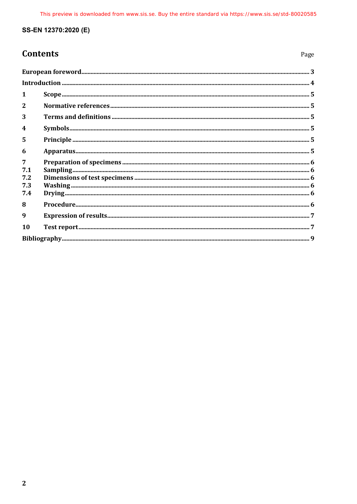### SS-EN 12370:2020 (E)

## **Contents**

| ${\bf European\; foreword.}\label{prop:ex1} 3$ |                                                                                                                                                                                                                                                                                                                                                                                                                                                                                                                                      |
|------------------------------------------------|--------------------------------------------------------------------------------------------------------------------------------------------------------------------------------------------------------------------------------------------------------------------------------------------------------------------------------------------------------------------------------------------------------------------------------------------------------------------------------------------------------------------------------------|
|                                                |                                                                                                                                                                                                                                                                                                                                                                                                                                                                                                                                      |
|                                                | $\textbf{Scope}\xspace_{\textcolor{red}{\textbf{5}}}\xspace_{\textcolor{red}{\textbf{5}}}\xspace_{\textcolor{red}{\textbf{5}}}\xspace_{\textcolor{red}{\textbf{6}}}\xspace_{\textcolor{red}{\textbf{6}}}\xspace_{\textcolor{red}{\textbf{6}}}\xspace_{\textcolor{red}{\textbf{6}}}\xspace_{\textcolor{red}{\textbf{6}}}\xspace_{\textcolor{red}{\textbf{6}}}\xspace_{\textcolor{red}{\textbf{6}}}\xspace_{\textcolor{red}{\textbf{6}}}\xspace_{\textcolor{red}{\textbf{6}}}\xspace_{\textcolor{red}{\textbf{6}}}\xspace_{\textcolor$ |
| $\mathbf{2}$                                   |                                                                                                                                                                                                                                                                                                                                                                                                                                                                                                                                      |
| 3                                              |                                                                                                                                                                                                                                                                                                                                                                                                                                                                                                                                      |
| $\boldsymbol{4}$                               | $Symbols .5$                                                                                                                                                                                                                                                                                                                                                                                                                                                                                                                         |
| 5                                              |                                                                                                                                                                                                                                                                                                                                                                                                                                                                                                                                      |
| 6                                              |                                                                                                                                                                                                                                                                                                                                                                                                                                                                                                                                      |
| $\overline{7}$<br>7.1                          |                                                                                                                                                                                                                                                                                                                                                                                                                                                                                                                                      |
| 7.2                                            |                                                                                                                                                                                                                                                                                                                                                                                                                                                                                                                                      |
| 7.3<br>7.4                                     |                                                                                                                                                                                                                                                                                                                                                                                                                                                                                                                                      |
| 8                                              |                                                                                                                                                                                                                                                                                                                                                                                                                                                                                                                                      |
| 9                                              |                                                                                                                                                                                                                                                                                                                                                                                                                                                                                                                                      |
| <b>10</b>                                      |                                                                                                                                                                                                                                                                                                                                                                                                                                                                                                                                      |
|                                                |                                                                                                                                                                                                                                                                                                                                                                                                                                                                                                                                      |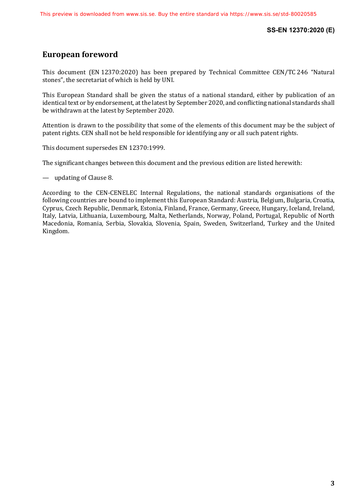#### **SS-EN 12370:2020 (E)**

### <span id="page-6-0"></span>**European foreword**

This document (EN 12370:2020) has been prepared by Technical Committee CEN/TC 246 "Natural stones", the secretariat of which is held by UNI.

This European Standard shall be given the status of a national standard, either by publication of an identical text or by endorsement, at the latest by September 2020, and conflicting national standards shall be withdrawn at the latest by September 2020.

Attention is drawn to the possibility that some of the elements of this document may be the subject of patent rights. CEN shall not be held responsible for identifying any or all such patent rights.

This document supersedes EN 12370:1999.

The significant changes between this document and the previous edition are listed herewith:

— updating of Clause 8.

According to the CEN-CENELEC Internal Regulations, the national standards organisations of the following countries are bound to implement this European Standard: Austria, Belgium, Bulgaria, Croatia, Cyprus, Czech Republic, Denmark, Estonia, Finland, France, Germany, Greece, Hungary, Iceland, Ireland, Italy, Latvia, Lithuania, Luxembourg, Malta, Netherlands, Norway, Poland, Portugal, Republic of North Macedonia, Romania, Serbia, Slovakia, Slovenia, Spain, Sweden, Switzerland, Turkey and the United Kingdom.